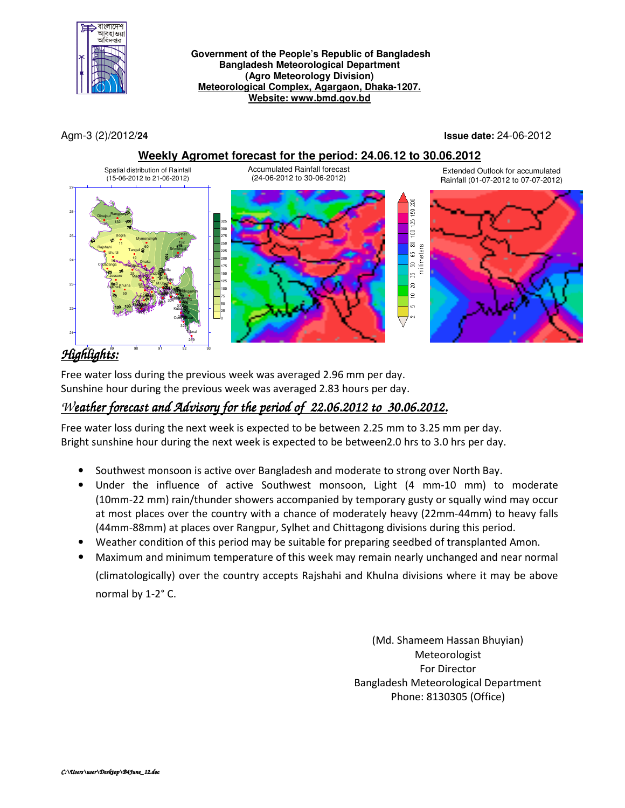

#### **Government of the People's Republic of Bangladesh Bangladesh Meteorological Department (Agro Meteorology Division) Meteorological Complex, Agargaon, Dhaka-1207. Website: www.bmd.gov.bd**

Agm-3 (2)/2012/**24 Issue date:** 24-06-2012

### **Weekly Agromet forecast for the period: 24.06.12 to 30.06.2012**



# *Highlights:*  88 89 90 91 92 93

Free water loss during the previous week was averaged 2.96 mm per day. Sunshine hour during the previous week was averaged 2.83 hours per day.

## *Weather forecast and Advisory for the period of 22.06.2012 to 30.06.2012.*

Free water loss during the next week is expected to be between 2.25 mm to 3.25 mm per day. Bright sunshine hour during the next week is expected to be between2.0 hrs to 3.0 hrs per day.

- Southwest monsoon is active over Bangladesh and moderate to strong over North Bay.
- Under the influence of active Southwest monsoon, Light (4 mm-10 mm) to moderate (10mm-22 mm) rain/thunder showers accompanied by temporary gusty or squally wind may occur at most places over the country with a chance of moderately heavy (22mm-44mm) to heavy falls (44mm-88mm) at places over Rangpur, Sylhet and Chittagong divisions during this period.
- Weather condition of this period may be suitable for preparing seedbed of transplanted Amon.
- Maximum and minimum temperature of this week may remain nearly unchanged and near normal (climatologically) over the country accepts Rajshahi and Khulna divisions where it may be above normal by 1-2° C.

(Md. Shameem Hassan Bhuyian) Meteorologist For Director Bangladesh Meteorological Department Phone: 8130305 (Office)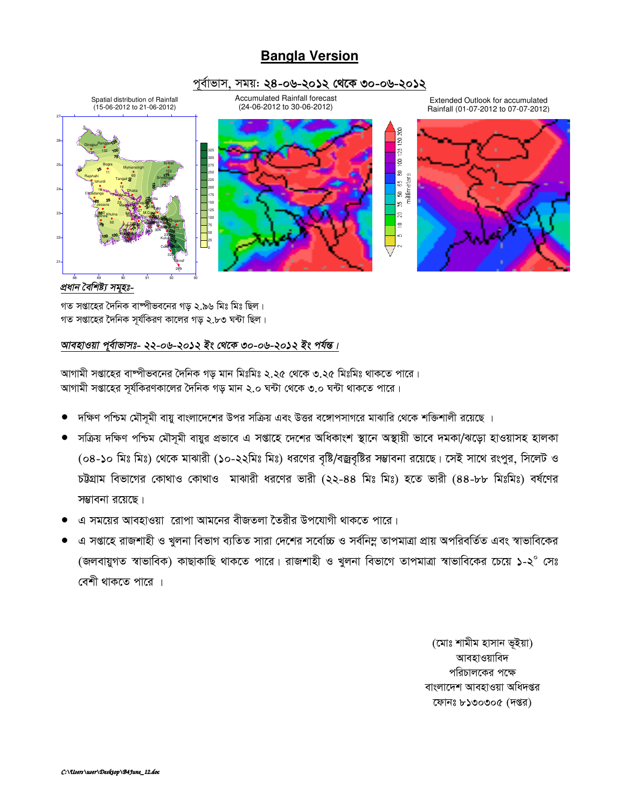## **Bangla Version**

### পূৰ্বাভাস, সময়: ২৪-০৬-২০**১২ থেকে ৩**০-০৬-২০**১**২



### *প্ৰধান বৈশিষ্ট্য সম্হঃ-*

গত সপ্তাহের দৈনিক বাম্পীভবনের গড় ২.৯৬ মিঃ মিঃ ছিল। গত সপ্তাহের দৈনিক সূর্যকিরণ কালের গড় ২.৮৩ ঘন্টা ছিল।

### *আবহাওয়া প্বাভাসঃ- ২২-০৬-২০১২ ইং থেকে ৩০-০৬-২০১২ ইং পৰ্যন্ত।*

আগামী সপ্তাহের বাম্পীভবনের দৈনিক গড় মান মিঃমিঃ ২.২৫ থেকে ৩.২৫ মিঃমিঃ থাকতে পারে। আগামী সপ্তাহের সূর্যকিরণকালের দৈনিক গড় মান ২.০ ঘন্টা থেকে ৩.০ ঘন্টা থাকতে পারে।

- দক্ষিণ পশ্চিম মৌসূমী বায়ু বাংলাদেশের উপর সক্রিয় এবং উত্তর বঙ্গোপসাগরে মাঝারি থেকে শক্তিশালী রয়েছে ।
- সক্ৰিয় দক্ষিণ পশ্চিম মৌসমী বায়ুর প্ৰভাবে এ সপ্তাহে দেশের অধিকাংশ স্থানে অস্থায়ী ভাবে দমকা/ঝড়ো হাওয়াসহ হালকা (০৪-১০ মিঃ মিঃ) থেকে মাঝারী (১০-২২মিঃ মিঃ) ধরণের বৃষ্টি/বজ্রবৃষ্টির সম্ভাবনা রয়েছে। সেই সাথে রংপুর, সিলেট ও চউগ্রাম বিভাগের কোথাও কোথাও মাঝারী ধরণের ভারী (২২-৪৪ মিঃ মিঃ) হতে ভারী (৪৪-৮৮ মিঃমিঃ) বর্ষণের সম্ভাবনা রয়েছে।
- এ সময়ের আবহাওয়া রোপা আমনের বীজতলা তৈরীর উপযোগী থাকতে পারে।
- এ সপ্তাহে রাজশাহী ও খুলনা বিভাগ ব্যতিত সারা দেশের সর্বোচ্চ ও সর্বনিম্ন তাপমাত্রা প্রায় অপরিবর্তিত এবং স্বাভাবিকের (জলবায়ুগত স্বাভাবিক) কাছাকাছি থাকতে পারে। রাজশাহী ও খুলনা বিভাগে তাপমাত্রা স্বাভাবিকের চেয়ে ১-২ $^\circ$  সেঃ বেশী থাকতে পারে ।

(মোঃ শামীম হাসান ভূইয়া) আবহাওয়াবিদ পরিচালকের পক্ষে বাংলাদেশ আবহাওয়া অধিদপ্তর কোনঃ ৮১৩০৩০৫ (দপ্তর)